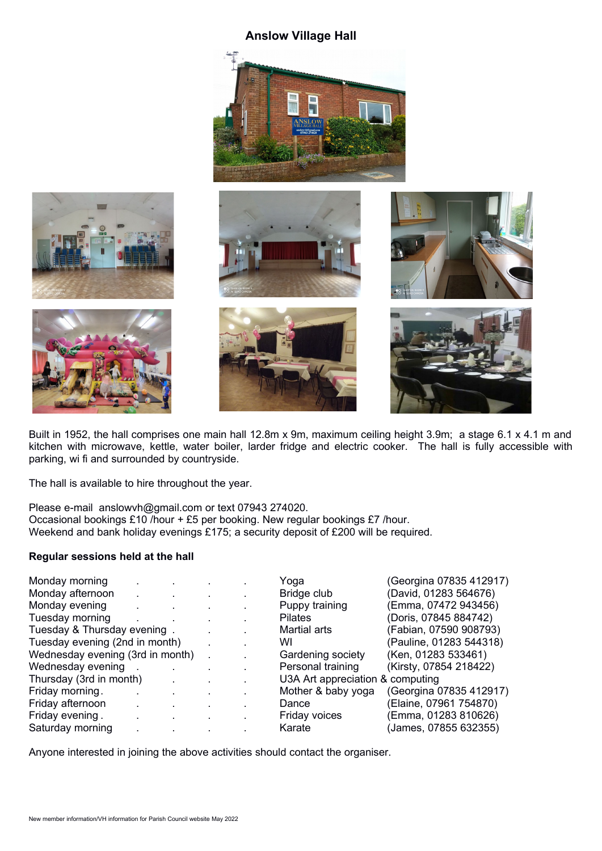## **Anslow Village Hall**





Built in 1952, the hall comprises one main hall 12.8m x 9m, maximum ceiling height 3.9m; a stage 6.1 x 4.1 m and kitchen with microwave, kettle, water boiler, larder fridge and electric cooker. The hall is fully accessible with parking, wi fi and surrounded by countryside.

The hall is available to hire throughout the year.

Please e-mail anslowvh@gmail.com or text 07943 274020. Occasional bookings £10 /hour + £5 per booking. New regular bookings £7 /hour. Weekend and bank holiday evenings £175; a security deposit of £200 will be required.

## **Regular sessions held at the hall**

| Monday morning                   |  |              | Yoga                             | (Georgina 07835 412917) |
|----------------------------------|--|--------------|----------------------------------|-------------------------|
| Monday afternoon                 |  |              | Bridge club                      | (David, 01283 564676)   |
| Monday evening                   |  |              | Puppy training                   | (Emma, 07472 943456)    |
| Tuesday morning                  |  |              | <b>Pilates</b>                   | (Doris, 07845 884742)   |
| Tuesday & Thursday evening.      |  |              | Martial arts                     | (Fabian, 07590 908793)  |
| Tuesday evening (2nd in month)   |  |              | WI                               | (Pauline, 01283 544318) |
| Wednesday evening (3rd in month) |  | $\mathbf{r}$ | Gardening society                | (Ken, 01283 533461)     |
| Wednesday evening                |  |              | Personal training                | (Kirsty, 07854 218422)  |
| Thursday (3rd in month)          |  |              | U3A Art appreciation & computing |                         |
| Friday morning.                  |  |              | Mother & baby yoga               | (Georgina 07835 412917) |
| Friday afternoon                 |  |              | Dance                            | (Elaine, 07961 754870)  |
| Friday evening.                  |  |              | Friday voices                    | (Emma, 01283 810626)    |
| Saturday morning                 |  |              | Karate                           | (James, 07855 632355)   |
|                                  |  |              |                                  |                         |

Anyone interested in joining the above activities should contact the organiser.